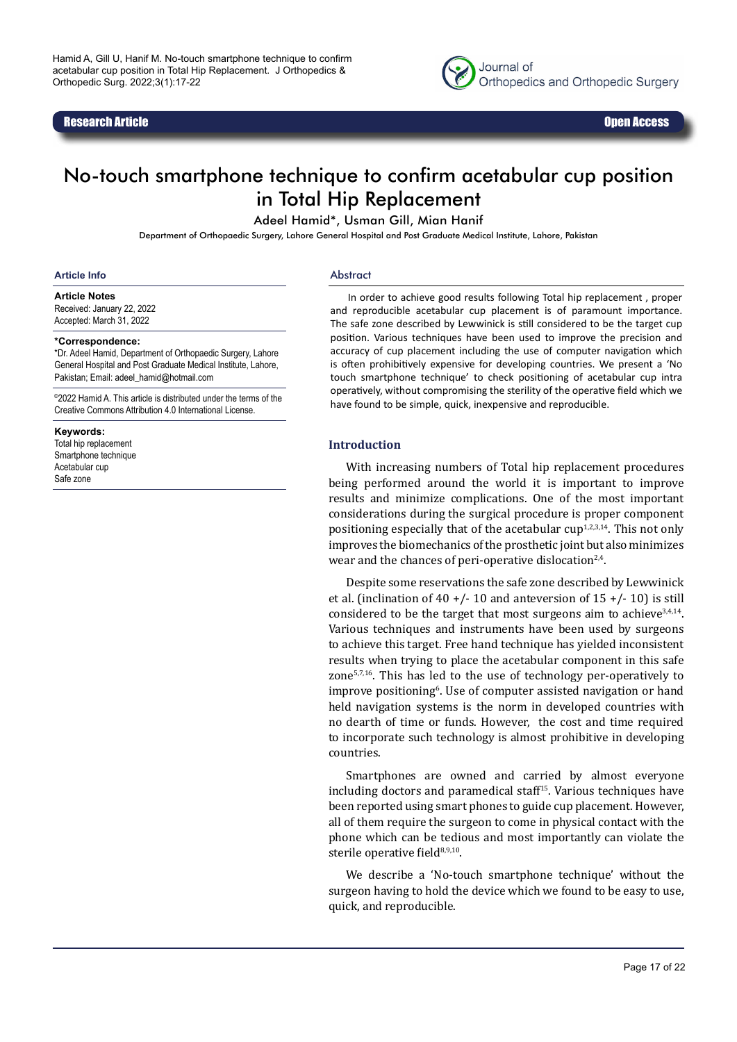#### Research Article Open Access



# No-touch smartphone technique to confirm acetabular cup position in Total Hip Replacement

Adeel Hamid\*, Usman Gill, Mian Hanif

Department of Orthopaedic Surgery, Lahore General Hospital and Post Graduate Medical Institute, Lahore, Pakistan

#### **Article Info**

Abstract

**Article Notes** Received: January 22, 2022 Accepted: March 31, 2022

#### **\*Correspondence:**

\*Dr. Adeel Hamid, Department of Orthopaedic Surgery, Lahore General Hospital and Post Graduate Medical Institute, Lahore, Pakistan; Email: adeel\_hamid@hotmail.com

©2022 Hamid A. This article is distributed under the terms of the Creative Commons Attribution 4.0 International License.

#### **Keywords:**

Total hip replacement Smartphone technique Acetabular cup Safe zone

In order to achieve good results following Total hip replacement , proper and reproducible acetabular cup placement is of paramount importance. The safe zone described by Lewwinick is still considered to be the target cup position. Various techniques have been used to improve the precision and accuracy of cup placement including the use of computer navigation which is often prohibitively expensive for developing countries. We present a 'No touch smartphone technique' to check positioning of acetabular cup intra operatively, without compromising the sterility of the operative field which we have found to be simple, quick, inexpensive and reproducible.

#### **Introduction**

With increasing numbers of Total hip replacement procedures being performed around the world it is important to improve results and minimize complications. One of the most important considerations during the surgical procedure is proper component positioning especially that of the acetabular  $cup^{1,2,3,14}$ . This not only improves the biomechanics of the prosthetic joint but also minimizes wear and the chances of peri-operative dislocation<sup>2,4</sup>.

Despite some reservations the safe zone described by Lewwinick et al. (inclination of 40 +/- 10 and anteversion of 15 +/- 10) is still considered to be the target that most surgeons aim to achieve $3,4,14$ . Various techniques and instruments have been used by surgeons to achieve this target. Free hand technique has yielded inconsistent results when trying to place the acetabular component in this safe zone $57,16$ . This has led to the use of technology per-operatively to improve positioning<sup>6</sup>. Use of computer assisted navigation or hand held navigation systems is the norm in developed countries with no dearth of time or funds. However, the cost and time required to incorporate such technology is almost prohibitive in developing countries.

Smartphones are owned and carried by almost everyone including doctors and paramedical staff<sup>15</sup>. Various techniques have been reported using smart phones to guide cup placement. However, all of them require the surgeon to come in physical contact with the phone which can be tedious and most importantly can violate the sterile operative field<sup>8,9,10</sup>.

We describe a 'No-touch smartphone technique' without the surgeon having to hold the device which we found to be easy to use, quick, and reproducible.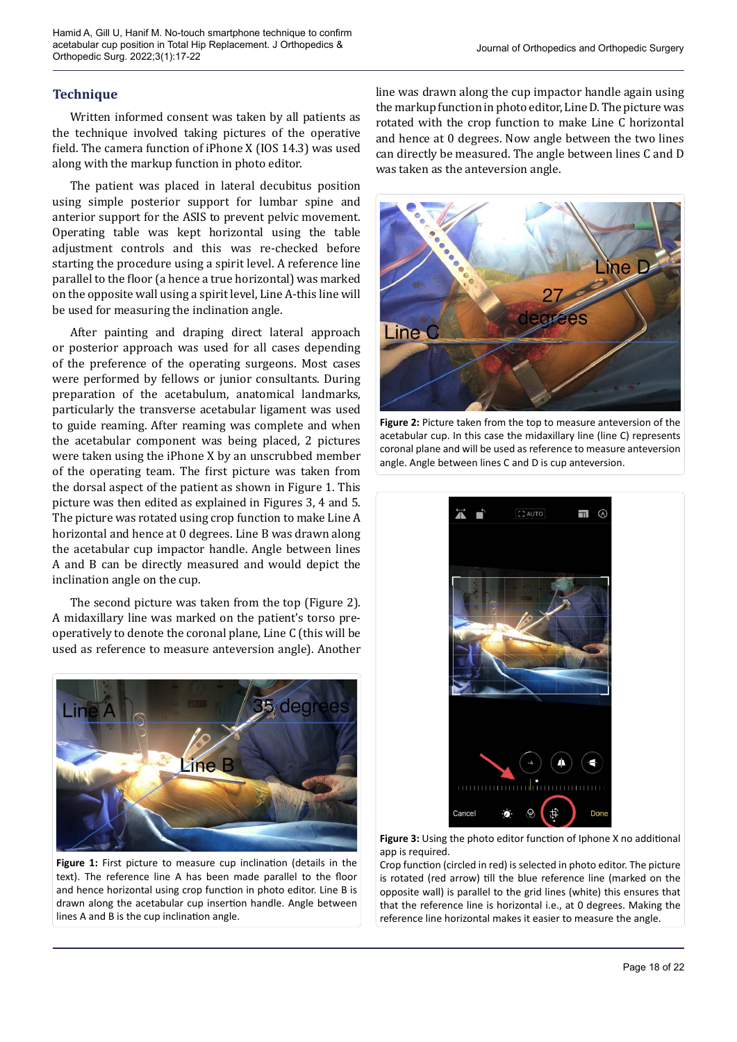## **Technique**

Written informed consent was taken by all patients as the technique involved taking pictures of the operative field. The camera function of iPhone X (IOS 14.3) was used along with the markup function in photo editor.

The patient was placed in lateral decubitus position using simple posterior support for lumbar spine and anterior support for the ASIS to prevent pelvic movement. Operating table was kept horizontal using the table adjustment controls and this was re-checked before starting the procedure using a spirit level. A reference line parallel to the floor (a hence a true horizontal) was marked on the opposite wall using a spirit level, Line A-this line will be used for measuring the inclination angle.

After painting and draping direct lateral approach or posterior approach was used for all cases depending of the preference of the operating surgeons. Most cases were performed by fellows or junior consultants. During preparation of the acetabulum, anatomical landmarks, particularly the transverse acetabular ligament was used to guide reaming. After reaming was complete and when the acetabular component was being placed, 2 pictures were taken using the iPhone X by an unscrubbed member of the operating team. The first picture was taken from the dorsal aspect of the patient as shown in Figure 1. This picture was then edited as explained in Figures 3, 4 and 5. The picture was rotated using crop function to make Line A horizontal and hence at 0 degrees. Line B was drawn along the acetabular cup impactor handle. Angle between lines A and B can be directly measured and would depict the inclination angle on the cup.

The second picture was taken from the top (Figure 2). A midaxillary line was marked on the patient's torso preoperatively to denote the coronal plane, Line C (this will be used as reference to measure anteversion angle). Another



**Figure 1:** First picture to measure cup inclination (details in the text). The reference line A has been made parallel to the floor and hence horizontal using crop function in photo editor. Line B is drawn along the acetabular cup insertion handle. Angle between lines A and B is the cup inclination angle.

line was drawn along the cup impactor handle again using the markup function in photo editor, Line D. The picture was rotated with the crop function to make Line C horizontal and hence at 0 degrees. Now angle between the two lines can directly be measured. The angle between lines C and D was taken as the anteversion angle.



**Figure 2:** Picture taken from the top to measure anteversion of the acetabular cup. In this case the midaxillary line (line C) represents coronal plane and will be used as reference to measure anteversion angle. Angle between lines C and D is cup anteversion.



**Figure 3:** Using the photo editor function of Iphone X no additional app is required.

Crop function (circled in red) is selected in photo editor. The picture is rotated (red arrow) till the blue reference line (marked on the opposite wall) is parallel to the grid lines (white) this ensures that that the reference line is horizontal i.e., at 0 degrees. Making the reference line horizontal makes it easier to measure the angle.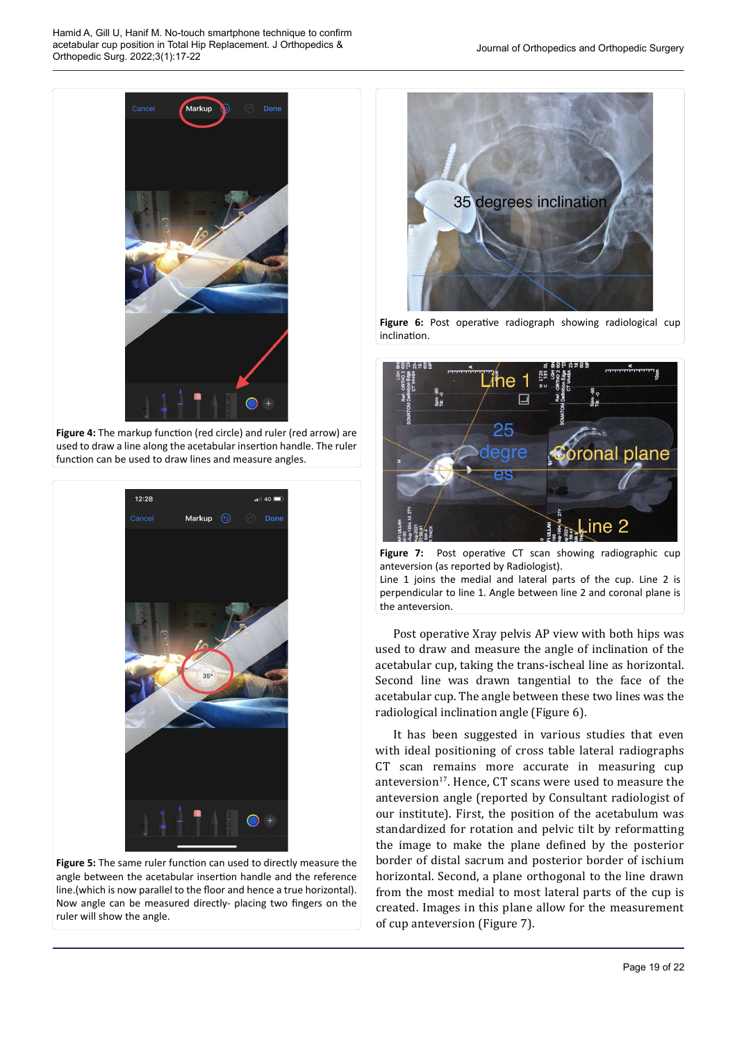

**Figure 4:** The markup function (red circle) and ruler (red arrow) are used to draw a line along the acetabular insertion handle. The ruler function can be used to draw lines and measure angles.



**Figure 5:** The same ruler function can used to directly measure the angle between the acetabular insertion handle and the reference line.(which is now parallel to the floor and hence a true horizontal). Now angle can be measured directly- placing two fingers on the ruler will show the angle.



**Figure 6:** Post operative radiograph showing radiological cup inclination.



Figure 7: Post operative CT scan showing radiographic cup anteversion (as reported by Radiologist). Line 1 joins the medial and lateral parts of the cup. Line 2 is perpendicular to line 1. Angle between line 2 and coronal plane is the anteversion.

Post operative Xray pelvis AP view with both hips was used to draw and measure the angle of inclination of the acetabular cup, taking the trans-ischeal line as horizontal. Second line was drawn tangential to the face of the acetabular cup. The angle between these two lines was the radiological inclination angle (Figure 6).

It has been suggested in various studies that even with ideal positioning of cross table lateral radiographs CT scan remains more accurate in measuring cup anteversion<sup>17</sup>. Hence, CT scans were used to measure the anteversion angle (reported by Consultant radiologist of our institute). First, the position of the acetabulum was standardized for rotation and pelvic tilt by reformatting the image to make the plane defined by the posterior border of distal sacrum and posterior border of ischium horizontal. Second, a plane orthogonal to the line drawn from the most medial to most lateral parts of the cup is created. Images in this plane allow for the measurement of cup anteversion (Figure 7).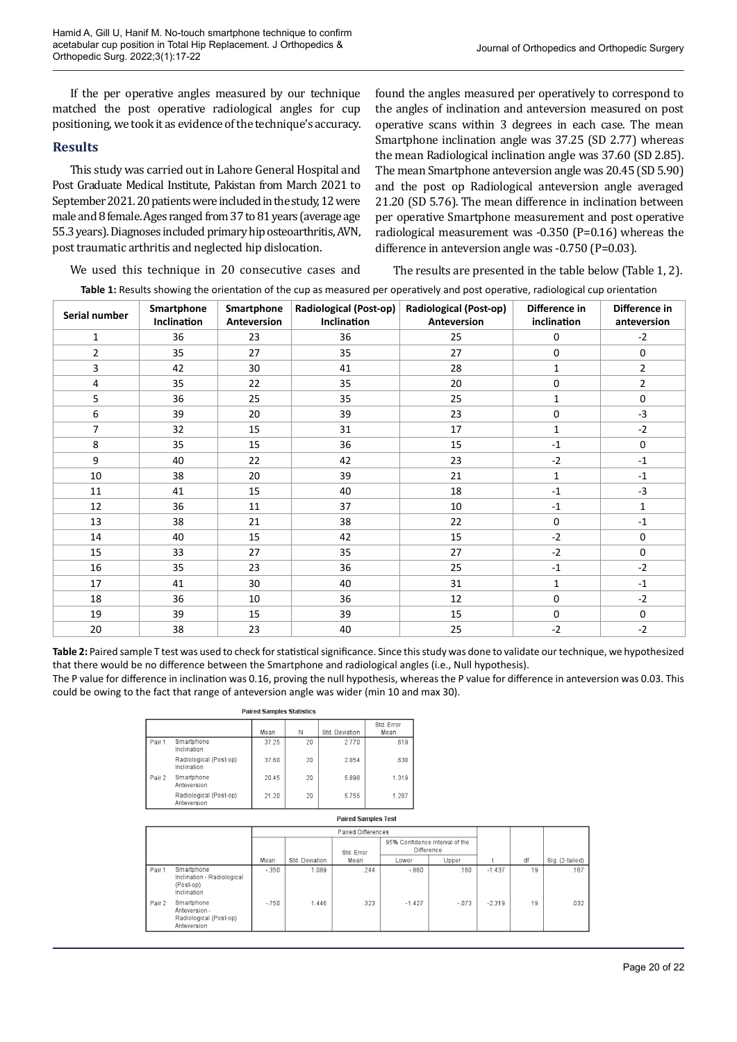If the per operative angles measured by our technique matched the post operative radiological angles for cup positioning, we took it as evidence of the technique's accuracy.

### **Results**

This study was carried out in Lahore General Hospital and Post Graduate Medical Institute, Pakistan from March 2021 to September 2021. 20 patients were included in the study, 12 were male and 8 female. Ages ranged from 37 to 81 years (average age 55.3 years). Diagnoses included primary hip osteoarthritis, AVN, post traumatic arthritis and neglected hip dislocation.

found the angles measured per operatively to correspond to the angles of inclination and anteversion measured on post operative scans within 3 degrees in each case. The mean Smartphone inclination angle was 37.25 (SD 2.77) whereas the mean Radiological inclination angle was 37.60 (SD 2.85). The mean Smartphone anteversion angle was 20.45 (SD 5.90) and the post op Radiological anteversion angle averaged 21.20 (SD 5.76). The mean difference in inclination between per operative Smartphone measurement and post operative radiological measurement was -0.350 (P=0.16) whereas the difference in anteversion angle was -0.750 (P=0.03).

We used this technique in 20 consecutive cases and

The results are presented in the table below (Table 1, 2).

**Table 1:** Results showing the orientation of the cup as measured per operatively and post operative, radiological cup orientation

| Serial number | Smartphone<br>Inclination | Smartphone<br>Anteversion | Radiological (Post-op)<br>Inclination | <b>Radiological (Post-op)</b><br>Anteversion | Difference in<br>inclination | Difference in<br>anteversion |  |
|---------------|---------------------------|---------------------------|---------------------------------------|----------------------------------------------|------------------------------|------------------------------|--|
| 1             | 36                        | 23                        | 36                                    | 25                                           | $\mathbf 0$                  | $-2$                         |  |
| 2             | 35                        | 27                        | 35                                    | 27                                           | $\mathbf 0$                  | $\mathbf 0$                  |  |
| 3             | 42                        | 30                        | 41                                    | 28                                           | $\mathbf{1}$                 | 2                            |  |
| 4             | 35                        | 22                        | 35                                    | 20                                           | $\mathbf 0$                  | $\overline{2}$               |  |
| 5             | 36                        | 25                        | 35                                    | 25                                           | $\mathbf{1}$                 | $\mathbf 0$                  |  |
| 6             | 39                        | 20                        | 39                                    | 23                                           | $\mathbf 0$                  | $-3$                         |  |
| 7             | 32                        | 15                        | 31                                    | 17                                           | $\mathbf{1}$                 | $-2$                         |  |
| 8             | 35                        | 15                        | 36                                    | 15                                           | $-1$                         | $\mathbf 0$                  |  |
| 9             | 40                        | 22                        | 42                                    | 23                                           | $-2$                         | $-1$                         |  |
| 10            | 38                        | 20                        | 39                                    | 21                                           | $\mathbf{1}$                 | $-1$                         |  |
| 11            | 41                        | 15                        | 40                                    | 18                                           | $-1$                         | $-3$                         |  |
| 12            | 36                        | 11                        | 37                                    | 10                                           | $-1$                         | $\mathbf{1}$                 |  |
| 13            | 38                        | 21                        | 38                                    | 22                                           | $\mathbf 0$                  | $-1$                         |  |
| 14            | 40                        | 15                        | 42                                    | 15                                           | $-2$                         | 0                            |  |
| 15            | 33                        | 27                        | 35                                    | 27                                           | $-2$                         | $\mathbf 0$                  |  |
| 16            | 35                        | 23                        | 36                                    | 25                                           | $-1$                         | $-2$                         |  |
| 17            | 41                        | 30                        | 40                                    | 31                                           | $\mathbf{1}$                 | $-1$                         |  |
| 18            | 36                        | 10                        | 36                                    | 12                                           | $\mathbf 0$                  | $-2$                         |  |
| 19            | 39                        | 15                        | 39                                    | 15                                           | $\mathbf 0$                  | $\mathbf 0$                  |  |
| 20            | 38                        | 23                        | 40                                    | 25                                           | $-2$                         | $-2$                         |  |

**Table 2:** Paired sample T test was used to check for statistical significance. Since this study was done to validate our technique, we hypothesized that there would be no difference between the Smartphone and radiological angles (i.e., Null hypothesis).

The P value for difference in inclination was 0.16, proving the null hypothesis, whereas the P value for difference in anteversion was 0.03. This could be owing to the fact that range of anteversion angle was wider (min 10 and max 30).

#### **Paired Samples Statistics**

|        |                                       | Mean  | N  | Std. Deviation | Std. Error<br>Mean |
|--------|---------------------------------------|-------|----|----------------|--------------------|
| Pair 1 | Smartphone<br>Inclination             | 37.25 | 20 | 2.770          | .619               |
|        | Radiological (Post-op)<br>Inclination | 37.60 | 20 | 2.854          | .638               |
| Pair 2 | Smartphone<br>Anteversion             | 20.45 | 20 | 5.898          | 1.319              |
|        | Radiological (Post-op)<br>Anteversion | 21.20 | 20 | 5.755          | 1.287              |

**Paired Samples Test** 

|        |                                                                      | Paired Differences |                |      |                                              |         |          |    |                 |
|--------|----------------------------------------------------------------------|--------------------|----------------|------|----------------------------------------------|---------|----------|----|-----------------|
|        |                                                                      |                    | Std. Error     |      | 95% Confidence Interval of the<br>Difference |         |          |    |                 |
|        |                                                                      | Mean               | Std. Deviation | Mean | Lower                                        | Upper   |          | df | Sig. (2-tailed) |
| Pair 1 | Smartphone<br>Inclination - Radiological<br>(Post-op)<br>Inclination | $-350$             | .089           | 244  | $-860$                                       | .160    | $-1.437$ | 19 | .167            |
| Pair 2 | Smartphone<br>Anteversion -<br>Radiological (Post-op)<br>Anteversion | $-.750$            | 1.446          | .323 | $-1.427$                                     | $-.073$ | $-2.319$ | 19 | .032            |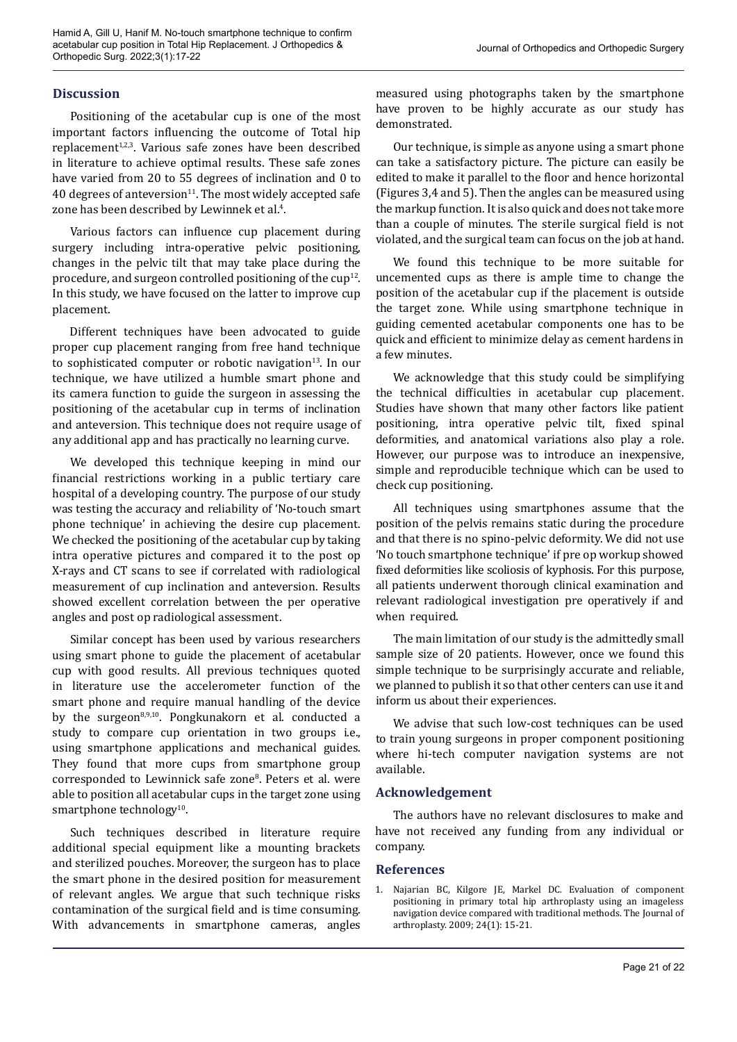# **Discussion**

Positioning of the acetabular cup is one of the most important factors influencing the outcome of Total hip replacement<sup>1,2,3</sup>. Various safe zones have been described in literature to achieve optimal results. These safe zones have varied from 20 to 55 degrees of inclination and 0 to 40 degrees of anteversion $11$ . The most widely accepted safe zone has been described by Lewinnek et al.<sup>4</sup>.

Various factors can influence cup placement during surgery including intra-operative pelvic positioning, changes in the pelvic tilt that may take place during the procedure, and surgeon controlled positioning of the  $cup^{12}$ . In this study, we have focused on the latter to improve cup placement.

Different techniques have been advocated to guide proper cup placement ranging from free hand technique to sophisticated computer or robotic navigation $13$ . In our technique, we have utilized a humble smart phone and its camera function to guide the surgeon in assessing the positioning of the acetabular cup in terms of inclination and anteversion. This technique does not require usage of any additional app and has practically no learning curve.

We developed this technique keeping in mind our financial restrictions working in a public tertiary care hospital of a developing country. The purpose of our study was testing the accuracy and reliability of 'No-touch smart phone technique' in achieving the desire cup placement. We checked the positioning of the acetabular cup by taking intra operative pictures and compared it to the post op X-rays and CT scans to see if correlated with radiological measurement of cup inclination and anteversion. Results showed excellent correlation between the per operative angles and post op radiological assessment.

Similar concept has been used by various researchers using smart phone to guide the placement of acetabular cup with good results. All previous techniques quoted in literature use the accelerometer function of the smart phone and require manual handling of the device by the surgeon $8,9,10$ . Pongkunakorn et al. conducted a study to compare cup orientation in two groups i.e., using smartphone applications and mechanical guides. They found that more cups from smartphone group corresponded to Lewinnick safe zone8 . Peters et al. were able to position all acetabular cups in the target zone using smartphone technology $10$ .

Such techniques described in literature require additional special equipment like a mounting brackets and sterilized pouches. Moreover, the surgeon has to place the smart phone in the desired position for measurement of relevant angles. We argue that such technique risks contamination of the surgical field and is time consuming. With advancements in smartphone cameras, angles

measured using photographs taken by the smartphone have proven to be highly accurate as our study has demonstrated.

Our technique, is simple as anyone using a smart phone can take a satisfactory picture. The picture can easily be edited to make it parallel to the floor and hence horizontal (Figures 3,4 and 5). Then the angles can be measured using the markup function. It is also quick and does not take more than a couple of minutes. The sterile surgical field is not violated, and the surgical team can focus on the job at hand.

We found this technique to be more suitable for uncemented cups as there is ample time to change the position of the acetabular cup if the placement is outside the target zone. While using smartphone technique in guiding cemented acetabular components one has to be quick and efficient to minimize delay as cement hardens in a few minutes.

We acknowledge that this study could be simplifying the technical difficulties in acetabular cup placement. Studies have shown that many other factors like patient positioning, intra operative pelvic tilt, fixed spinal deformities, and anatomical variations also play a role. However, our purpose was to introduce an inexpensive, simple and reproducible technique which can be used to check cup positioning.

All techniques using smartphones assume that the position of the pelvis remains static during the procedure and that there is no spino-pelvic deformity. We did not use 'No touch smartphone technique' if pre op workup showed fixed deformities like scoliosis of kyphosis. For this purpose, all patients underwent thorough clinical examination and relevant radiological investigation pre operatively if and when required.

The main limitation of our study is the admittedly small sample size of 20 patients. However, once we found this simple technique to be surprisingly accurate and reliable, we planned to publish it so that other centers can use it and inform us about their experiences.

We advise that such low-cost techniques can be used to train young surgeons in proper component positioning where hi-tech computer navigation systems are not available.

## **Acknowledgement**

The authors have no relevant disclosures to make and have not received any funding from any individual or company.

## **References**

1. Najarian BC, Kilgore JE, Markel DC. Evaluation of component positioning in primary total hip arthroplasty using an imageless navigation device compared with traditional methods. The Journal of arthroplasty. 2009; 24(1): 15-21.